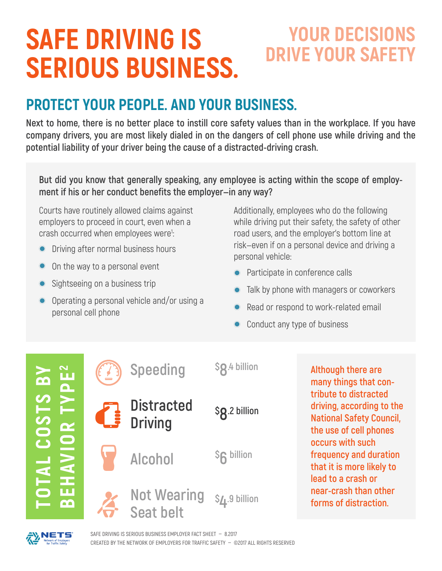# **SAFE DRIVING IS SERIOUS BUSINESS.**

## **YOUR DECISIONS DRIVE YOUR SAFETY**

### **PROTECT YOUR PEOPLE. AND YOUR BUSINESS.**

**Next to home, there is no better place to instill core safety values than in the workplace. If you have company drivers, you are most likely dialed in on the dangers of cell phone use while driving and the potential liability of your driver being the cause of a distracted-driving crash.**

**But did you know that generally speaking, any employee is acting within the scope of employment if his or her conduct benefits the employer—in any way?**

Courts have routinely allowed claims against employers to proceed in court, even when a crash occurred when employees were<sup>1</sup>: :

- Driving after normal business hours
- On the way to a personal event
- Sightseeing on a business trip
- Operating a personal vehicle and/or using a personal cell phone

Additionally, employees who do the following while driving put their safety, the safety of other road users, and the employer's bottom line at risk—even if on a personal device and driving a personal vehicle:

- Participate in conference calls
- Talk by phone with managers or coworkers
- Read or respond to work-related email
- Conduct any type of business



**Although there are many things that contribute to distracted driving, according to the National Safety Council, the use of cell phones occurs with such frequency and duration that it is more likely to lead to a crash or near-crash than other forms of distraction.**